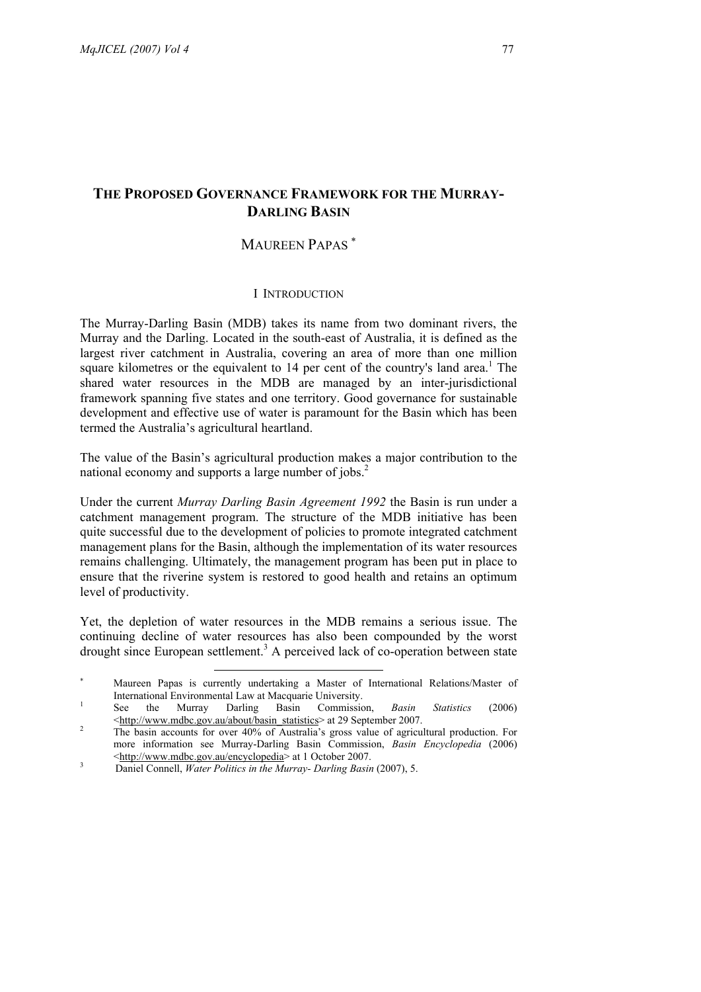# **THE PROPOSED GOVERNANCE FRAMEWORK FOR THE MURRAY-DARLING BASIN**

# MAUREEN PAPAS<sup>\*</sup>

# I INTRODUCTION

The Murray-Darling Basin (MDB) takes its name from two dominant rivers, the Murray and the Darling. Located in the south-east of Australia, it is defined as the largest river catchment in Australia, covering an area of more than one million square kilometres or the equivalent to 14 per cent of the country's land area.<sup>1</sup> The shared water resources in the MDB are managed by an inter-jurisdictional framework spanning five states and one territory. Good governance for sustainable development and effective use of water is paramount for the Basin which has been termed the Australia's agricultural heartland.

The value of the Basin's agricultural production makes a major contribution to the national economy and supports a large number of jobs.<sup>2</sup>

Under the current *Murray Darling Basin Agreement 1992* the Basin is run under a catchment management program. The structure of the MDB initiative has been quite successful due to the development of policies to promote integrated catchment management plans for the Basin, although the implementation of its water resources remains challenging. Ultimately, the management program has been put in place to ensure that the riverine system is restored to good health and retains an optimum level of productivity.

Yet, the depletion of water resources in the MDB remains a serious issue. The continuing decline of water resources has also been compounded by the worst drought since European settlement.<sup>3</sup> A perceived lack of co-operation between state

 $\overline{a}$ 

<sup>∗</sup> Maureen Papas is currently undertaking a Master of International Relations/Master of International Environmental Law at Macquarie University.<br>
See the Murray Darling Basin Commission

Commission, *Basin Statistics* (2006)  $\frac{\text{http://www.mdbc.gov.au/about/basin_3statistics>}}{\text{The basic process of 29 September 2007}}$ 

The basin accounts for over 40% of Australia's gross value of agricultural production. For more information see Murray-Darling Basin Commission, *Basin Encyclopedia* (2006)  $\leq$ http://www.mdbc.gov.au/encyclopedia> at 1 October 2007.

Daniel Connell, *Water Politics in the Murray- Darling Basin* (2007), 5.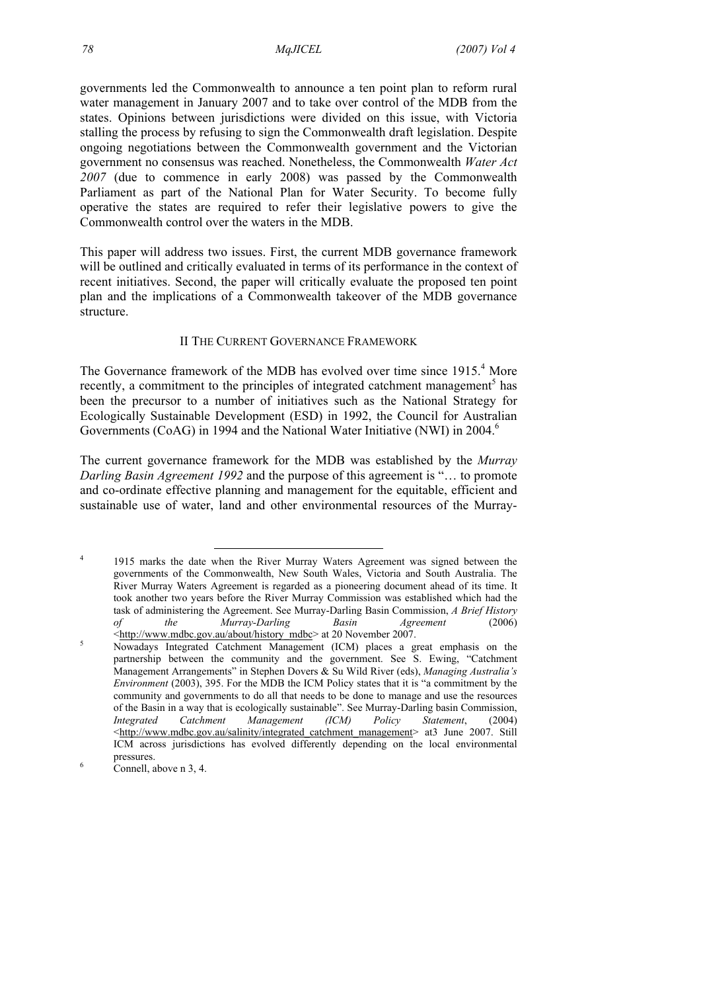governments led the Commonwealth to announce a ten point plan to reform rural water management in January 2007 and to take over control of the MDB from the states. Opinions between jurisdictions were divided on this issue, with Victoria stalling the process by refusing to sign the Commonwealth draft legislation. Despite ongoing negotiations between the Commonwealth government and the Victorian government no consensus was reached. Nonetheless, the Commonwealth *Water Act 2007* (due to commence in early 2008) was passed by the Commonwealth Parliament as part of the National Plan for Water Security. To become fully operative the states are required to refer their legislative powers to give the Commonwealth control over the waters in the MDB.

This paper will address two issues. First, the current MDB governance framework will be outlined and critically evaluated in terms of its performance in the context of recent initiatives. Second, the paper will critically evaluate the proposed ten point plan and the implications of a Commonwealth takeover of the MDB governance structure.

## II THE CURRENT GOVERNANCE FRAMEWORK

The Governance framework of the MDB has evolved over time since 1915.<sup>4</sup> More recently, a commitment to the principles of integrated catchment management<sup>5</sup> has been the precursor to a number of initiatives such as the National Strategy for Ecologically Sustainable Development (ESD) in 1992, the Council for Australian Governments (CoAG) in 1994 and the National Water Initiative (NWI) in 2004.<sup>6</sup>

The current governance framework for the MDB was established by the *Murray Darling Basin Agreement 1992* and the purpose of this agreement is "… to promote and co-ordinate effective planning and management for the equitable, efficient and sustainable use of water, land and other environmental resources of the Murray-

<sup>&</sup>lt;sup>4</sup> 1915 marks the date when the River Murray Waters Agreement was signed between the governments of the Commonwealth, New South Wales, Victoria and South Australia. The River Murray Waters Agreement is regarded as a pioneering document ahead of its time. It took another two years before the River Murray Commission was established which had the task of administering the Agreement. See Murray-Darling Basin Commission, *A Brief History of the Murray-Darling Basin Agreement* (2006)  $\frac{\text{th}}{2007}$   $\frac{\text{th}}{2007}$ 

Nowadays Integrated Catchment Management (ICM) places a great emphasis on the partnership between the community and the government. See S. Ewing, "Catchment Management Arrangements" in Stephen Dovers & Su Wild River (eds), *Managing Australia's Environment* (2003), 395. For the MDB the ICM Policy states that it is "a commitment by the community and governments to do all that needs to be done to manage and use the resources of the Basin in a way that is ecologically sustainable". See Murray-Darling basin Commission, *Integrated Catchment Management (ICM) Policy Statement*, (2004) <http://www.mdbc.gov.au/salinity/integrated\_catchment\_management> at3 June 2007. Still ICM across jurisdictions has evolved differently depending on the local environmental pressures.

Connell, above n 3, 4.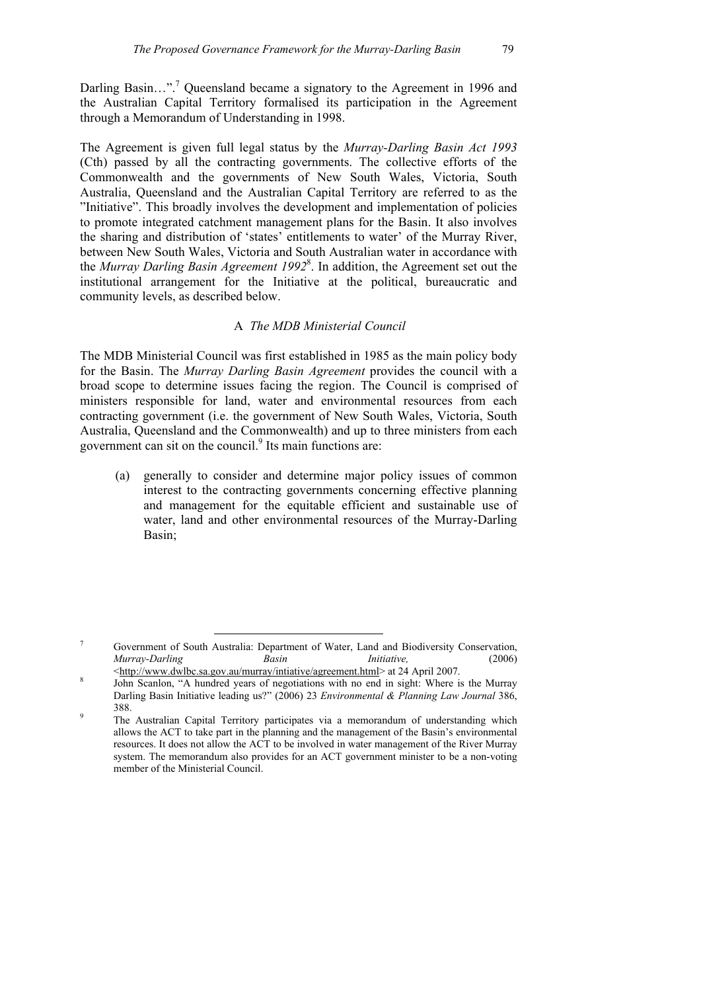Darling Basin...".<sup>7</sup> Queensland became a signatory to the Agreement in 1996 and the Australian Capital Territory formalised its participation in the Agreement through a Memorandum of Understanding in 1998.

The Agreement is given full legal status by the *Murray-Darling Basin Act 1993* (Cth) passed by all the contracting governments. The collective efforts of the Commonwealth and the governments of New South Wales, Victoria, South Australia, Queensland and the Australian Capital Territory are referred to as the "Initiative". This broadly involves the development and implementation of policies to promote integrated catchment management plans for the Basin. It also involves the sharing and distribution of 'states' entitlements to water' of the Murray River, between New South Wales, Victoria and South Australian water in accordance with the *Murray Darling Basin Agreement 1992*<sup>8</sup> . In addition, the Agreement set out the institutional arrangement for the Initiative at the political, bureaucratic and community levels, as described below.

# A *The MDB Ministerial Council*

The MDB Ministerial Council was first established in 1985 as the main policy body for the Basin. The *Murray Darling Basin Agreement* provides the council with a broad scope to determine issues facing the region. The Council is comprised of ministers responsible for land, water and environmental resources from each contracting government (i.e. the government of New South Wales, Victoria, South Australia, Queensland and the Commonwealth) and up to three ministers from each government can sit on the council.<sup>9</sup> Its main functions are:

(a) generally to consider and determine major policy issues of common interest to the contracting governments concerning effective planning and management for the equitable efficient and sustainable use of water, land and other environmental resources of the Murray-Darling Basin;

<sup>&</sup>lt;sup>7</sup> Government of South Australia: Department of Water, Land and Biodiversity Conservation, *Murray-Darling Basin Initiative,* (2006) <http://www.dwlbc.sa.gov.au/murray/intiative/agreement.html> at 24 April 2007.

John Scanlon, "A hundred years of negotiations with no end in sight: Where is the Murray Darling Basin Initiative leading us?" (2006) 23 *Environmental & Planning Law Journal* 386,

<sup>&</sup>lt;sup>9</sup><br><sup>9</sup> The Australian Capital Territory participates via a memorandum of understanding which allows the ACT to take part in the planning and the management of the Basin's environmental resources. It does not allow the ACT to be involved in water management of the River Murray system. The memorandum also provides for an ACT government minister to be a non-voting member of the Ministerial Council.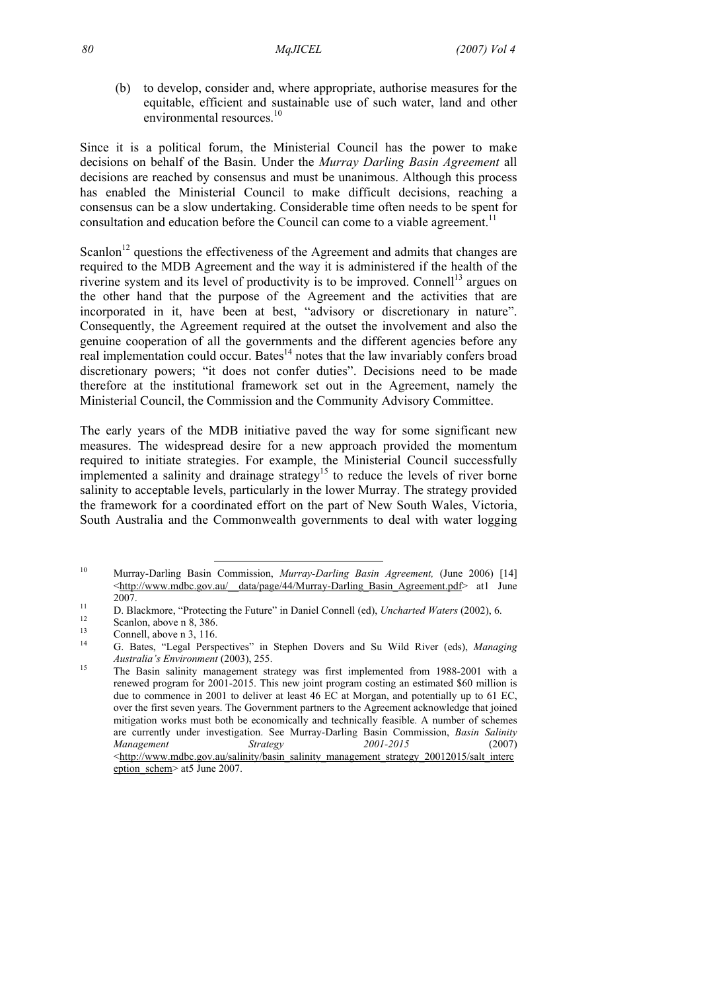(b) to develop, consider and, where appropriate, authorise measures for the equitable, efficient and sustainable use of such water, land and other environmental resources.<sup>10</sup>

Since it is a political forum, the Ministerial Council has the power to make decisions on behalf of the Basin. Under the *Murray Darling Basin Agreement* all decisions are reached by consensus and must be unanimous. Although this process has enabled the Ministerial Council to make difficult decisions, reaching a consensus can be a slow undertaking. Considerable time often needs to be spent for consultation and education before the Council can come to a viable agreement.<sup>11</sup>

Scanlon<sup>12</sup> questions the effectiveness of the Agreement and admits that changes are required to the MDB Agreement and the way it is administered if the health of the riverine system and its level of productivity is to be improved. Connell<sup>13</sup> argues on the other hand that the purpose of the Agreement and the activities that are incorporated in it, have been at best, "advisory or discretionary in nature". Consequently, the Agreement required at the outset the involvement and also the genuine cooperation of all the governments and the different agencies before any real implementation could occur. Bates $14$  notes that the law invariably confers broad discretionary powers; "it does not confer duties". Decisions need to be made therefore at the institutional framework set out in the Agreement, namely the Ministerial Council, the Commission and the Community Advisory Committee.

The early years of the MDB initiative paved the way for some significant new measures. The widespread desire for a new approach provided the momentum required to initiate strategies. For example, the Ministerial Council successfully implemented a salinity and drainage strategy<sup>15</sup> to reduce the levels of river borne salinity to acceptable levels, particularly in the lower Murray. The strategy provided the framework for a coordinated effort on the part of New South Wales, Victoria, South Australia and the Commonwealth governments to deal with water logging

 <sup>10</sup> Murray-Darling Basin Commission, *Murray-Darling Basin Agreement,* (June 2006) [14] <http://www.mdbc.gov.au/\_\_data/page/44/Murray-Darling\_Basin\_Agreement.pdf> at1 June

<sup>2007.&</sup>lt;br>
2007. **11** D. Blackmore, "Protecting the Future" in Daniel Connell (ed), *Uncharted Waters* (2002), 6.<br>
21 Scanlon, above n 8, 386.

 $\frac{13}{14}$  Connell, above n 3, 116.

<sup>14</sup> G. Bates, "Legal Perspectives" in Stephen Dovers and Su Wild River (eds), *Managing Australia's Environment* (2003), 255.<br><sup>15</sup> The Basin salinity management strategy was first implemented from 1988-2001 with a

renewed program for 2001-2015. This new joint program costing an estimated \$60 million is due to commence in 2001 to deliver at least 46 EC at Morgan, and potentially up to 61 EC, over the first seven years. The Government partners to the Agreement acknowledge that joined mitigation works must both be economically and technically feasible. A number of schemes are currently under investigation. See Murray-Darling Basin Commission, *Basin Salinity Management Strategy 2001-2015* (2007) <http://www.mdbc.gov.au/salinity/basin\_salinity\_management\_strategy\_20012015/salt\_interc eption\_schem> at5 June 2007.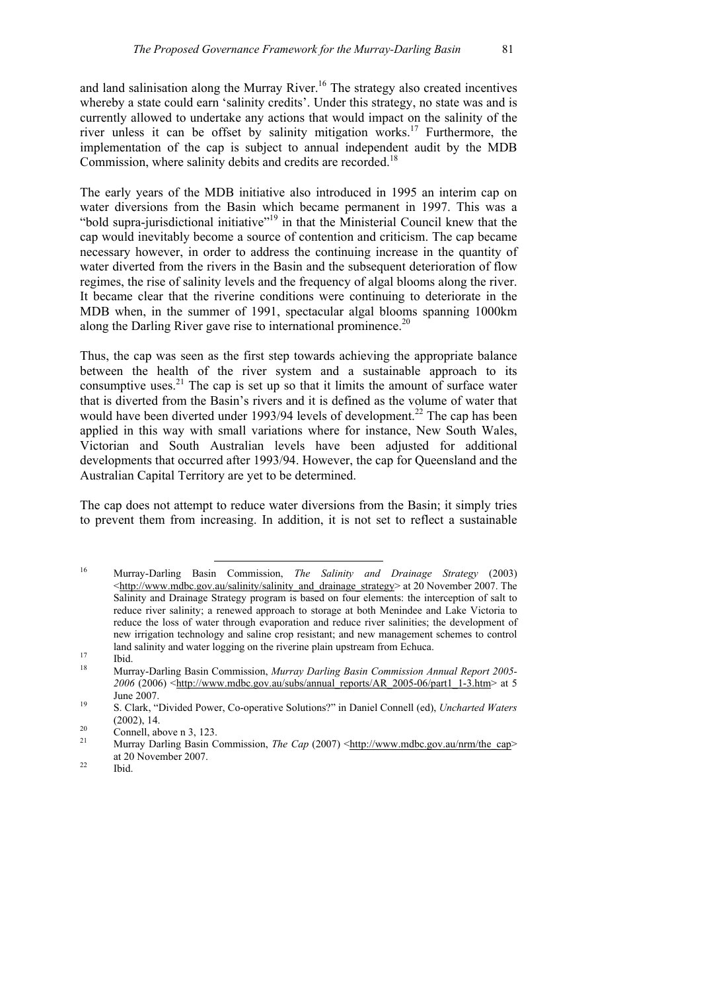and land salinisation along the Murray River.<sup>16</sup> The strategy also created incentives whereby a state could earn 'salinity credits'. Under this strategy, no state was and is currently allowed to undertake any actions that would impact on the salinity of the river unless it can be offset by salinity mitigation works.<sup>17</sup> Furthermore, the implementation of the cap is subject to annual independent audit by the MDB Commission, where salinity debits and credits are recorded.<sup>18</sup>

The early years of the MDB initiative also introduced in 1995 an interim cap on water diversions from the Basin which became permanent in 1997. This was a "bold supra-jurisdictional initiative"19 in that the Ministerial Council knew that the cap would inevitably become a source of contention and criticism. The cap became necessary however, in order to address the continuing increase in the quantity of water diverted from the rivers in the Basin and the subsequent deterioration of flow regimes, the rise of salinity levels and the frequency of algal blooms along the river. It became clear that the riverine conditions were continuing to deteriorate in the MDB when, in the summer of 1991, spectacular algal blooms spanning 1000km along the Darling River gave rise to international prominence.<sup>20</sup>

Thus, the cap was seen as the first step towards achieving the appropriate balance between the health of the river system and a sustainable approach to its consumptive uses.<sup>21</sup> The cap is set up so that it limits the amount of surface water that is diverted from the Basin's rivers and it is defined as the volume of water that would have been diverted under 1993/94 levels of development.<sup>22</sup> The cap has been applied in this way with small variations where for instance, New South Wales, Victorian and South Australian levels have been adjusted for additional developments that occurred after 1993/94. However, the cap for Queensland and the Australian Capital Territory are yet to be determined.

The cap does not attempt to reduce water diversions from the Basin; it simply tries to prevent them from increasing. In addition, it is not set to reflect a sustainable

 <sup>16</sup> Murray-Darling Basin Commission, *The Salinity and Drainage Strategy* (2003) <http://www.mdbc.gov.au/salinity/salinity\_and\_drainage\_strategy> at 20 November 2007. The Salinity and Drainage Strategy program is based on four elements: the interception of salt to reduce river salinity; a renewed approach to storage at both Menindee and Lake Victoria to reduce the loss of water through evaporation and reduce river salinities; the development of new irrigation technology and saline crop resistant; and new management schemes to control land salinity and water logging on the riverine plain upstream from Echuca.<br>
<sup>17</sup> Ibid.

<sup>18</sup> Murray-Darling Basin Commission, *Murray Darling Basin Commission Annual Report 2005-*  $2006$  (2006)  $\langle$ http://www.mdbc.gov.au/subs/annual\_reports/AR\_2005-06/part1\_1-3.htm> at 5 June 2007. 19 S. Clark, "Divided Power, Co-operative Solutions?" in Daniel Connell (ed), *Uncharted Waters* 

<sup>(2002), 14.&</sup>lt;br>
<sup>20</sup> Connell, above n 3, 123.<br>
<sup>21</sup> Marmar Darling Bosin Co

Murray Darling Basin Commission, *The Cap* (2007) <http://www.mdbc.gov.au/nrm/the\_cap> at 20 November 2007.<br>Ibid.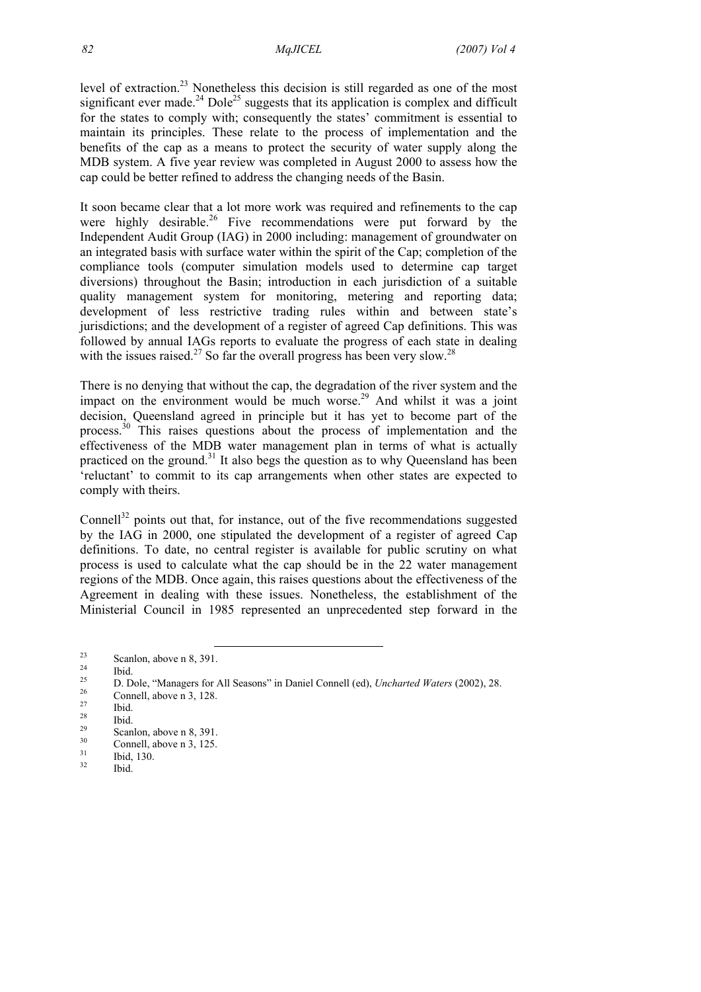level of extraction.<sup>23</sup> Nonetheless this decision is still regarded as one of the most significant ever made.<sup>24</sup> Dole<sup>25</sup> suggests that its application is complex and difficult for the states to comply with; consequently the states' commitment is essential to maintain its principles. These relate to the process of implementation and the benefits of the cap as a means to protect the security of water supply along the MDB system. A five year review was completed in August 2000 to assess how the cap could be better refined to address the changing needs of the Basin.

It soon became clear that a lot more work was required and refinements to the cap were highly desirable.<sup>26</sup> Five recommendations were put forward by the Independent Audit Group (IAG) in 2000 including: management of groundwater on an integrated basis with surface water within the spirit of the Cap; completion of the compliance tools (computer simulation models used to determine cap target diversions) throughout the Basin; introduction in each jurisdiction of a suitable quality management system for monitoring, metering and reporting data; development of less restrictive trading rules within and between state's jurisdictions; and the development of a register of agreed Cap definitions. This was followed by annual IAGs reports to evaluate the progress of each state in dealing with the issues raised.<sup>27</sup> So far the overall progress has been very slow.<sup>28</sup>

There is no denying that without the cap, the degradation of the river system and the impact on the environment would be much worse.<sup>29</sup> And whilst it was a joint decision, Queensland agreed in principle but it has yet to become part of the process.<sup>30</sup> This raises questions about the process of implementation and the effectiveness of the MDB water management plan in terms of what is actually practiced on the ground.<sup>31</sup> It also begs the question as to why Queensland has been 'reluctant' to commit to its cap arrangements when other states are expected to comply with theirs.

Connell $32$  points out that, for instance, out of the five recommendations suggested by the IAG in 2000, one stipulated the development of a register of agreed Cap definitions. To date, no central register is available for public scrutiny on what process is used to calculate what the cap should be in the 22 water management regions of the MDB. Once again, this raises questions about the effectiveness of the Agreement in dealing with these issues. Nonetheless, the establishment of the Ministerial Council in 1985 represented an unprecedented step forward in the

 $\frac{23}{24}$  Scanlon, above n 8, 391.

 $\frac{24}{25}$  Ibid.

<sup>&</sup>lt;sup>25</sup> D. Dole, "Managers for All Seasons" in Daniel Connell (ed), *Uncharted Waters* (2002), 28.<br><sup>26</sup> Connell, above n 3, 128.

 $\frac{27}{28}$  Ibid.

 $\frac{28}{29}$  Ibid.

 $\frac{29}{30}$  Scanlon, above n 8, 391.

 $\frac{30}{31}$  Connell, above n 3, 125.

 $\frac{31}{32}$  Ibid, 130.

Ibid.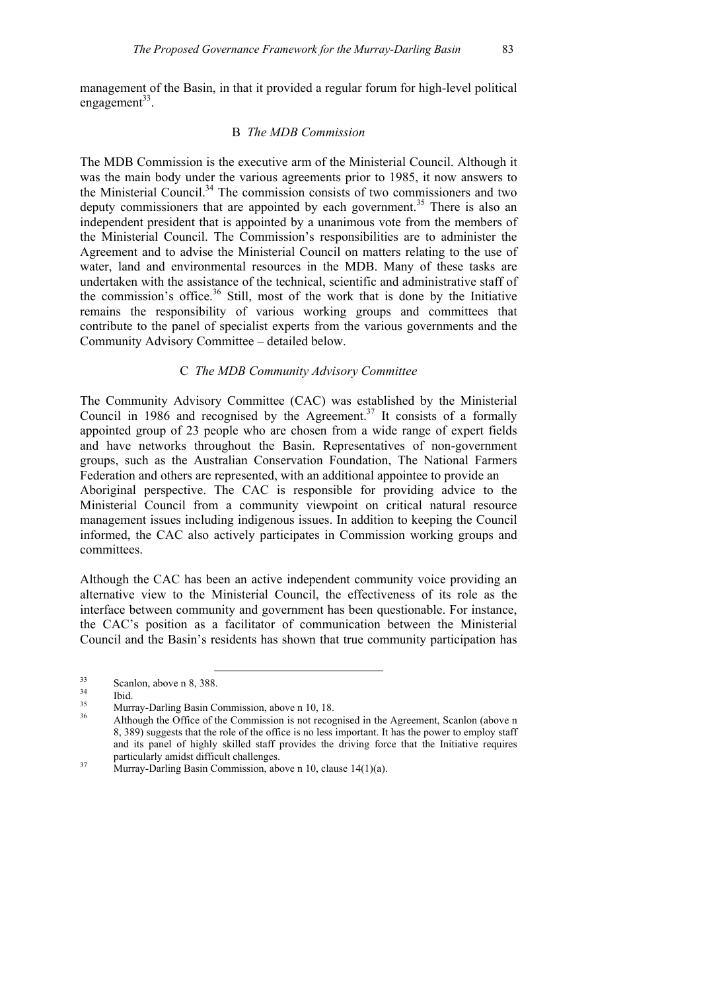management of the Basin, in that it provided a regular forum for high-level political engagement $33$ .

### B *The MDB Commission*

The MDB Commission is the executive arm of the Ministerial Council. Although it was the main body under the various agreements prior to 1985, it now answers to the Ministerial Council.<sup>34</sup> The commission consists of two commissioners and two deputy commissioners that are appointed by each government.<sup>35</sup> There is also an independent president that is appointed by a unanimous vote from the members of the Ministerial Council. The Commission's responsibilities are to administer the Agreement and to advise the Ministerial Council on matters relating to the use of water, land and environmental resources in the MDB. Many of these tasks are undertaken with the assistance of the technical, scientific and administrative staff of the commission's office.<sup>36</sup> Still, most of the work that is done by the Initiative remains the responsibility of various working groups and committees that contribute to the panel of specialist experts from the various governments and the Community Advisory Committee – detailed below.

# C *The MDB Community Advisory Committee*

The Community Advisory Committee (CAC) was established by the Ministerial Council in 1986 and recognised by the Agreement.<sup>37</sup> It consists of a formally appointed group of 23 people who are chosen from a wide range of expert fields and have networks throughout the Basin. Representatives of non-government groups, such as the Australian Conservation Foundation, The National Farmers Federation and others are represented, with an additional appointee to provide an Aboriginal perspective. The CAC is responsible for providing advice to the Ministerial Council from a community viewpoint on critical natural resource management issues including indigenous issues. In addition to keeping the Council informed, the CAC also actively participates in Commission working groups and committees.

Although the CAC has been an active independent community voice providing an alternative view to the Ministerial Council, the effectiveness of its role as the interface between community and government has been questionable. For instance, the CAC's position as a facilitator of communication between the Ministerial Council and the Basin's residents has shown that true community participation has

 $\frac{33}{34}$  Scanlon, above n 8, 388.

 $\frac{34}{35}$  Ibid.

<sup>&</sup>lt;sup>35</sup> Murray-Darling Basin Commission, above n 10, 18.<br><sup>36</sup> Although the Office of the Commission is not recognised in the Agreement, Scanlon (above n 8, 389) suggests that the role of the office is no less important. It has the power to employ staff and its panel of highly skilled staff provides the driving force that the Initiative requires particularly amidst difficult challenges.<br>37 Murray-Darling Basin Commission, above n 10, clause 14(1)(a).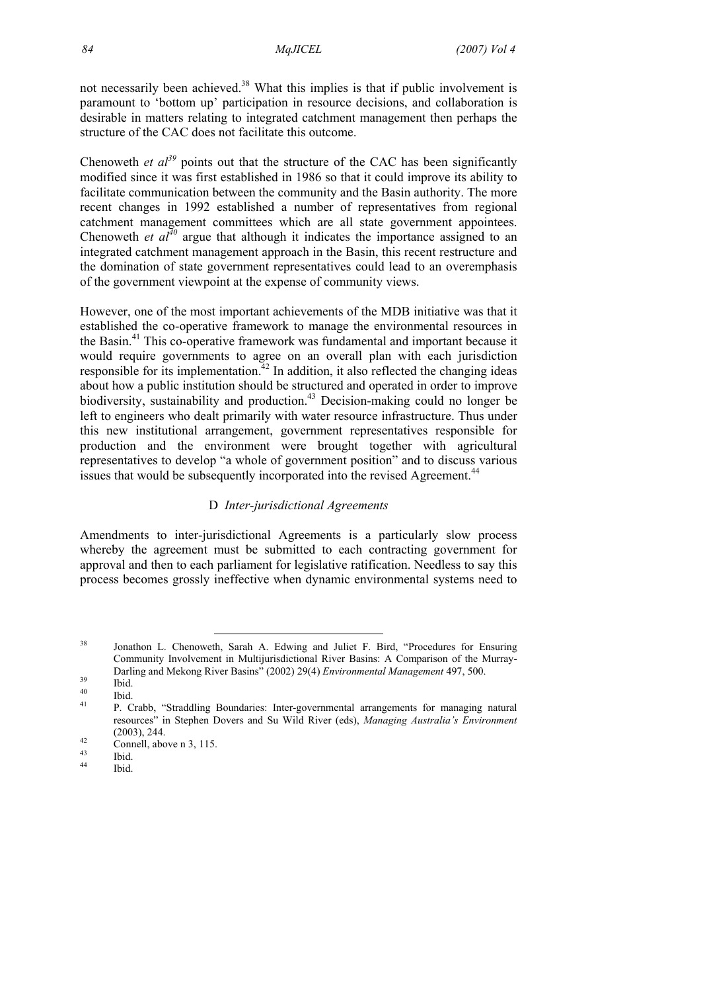not necessarily been achieved.<sup>38</sup> What this implies is that if public involvement is paramount to 'bottom up' participation in resource decisions, and collaboration is desirable in matters relating to integrated catchment management then perhaps the structure of the CAC does not facilitate this outcome.

Chenoweth *et al*<sup>39</sup> points out that the structure of the CAC has been significantly modified since it was first established in 1986 so that it could improve its ability to facilitate communication between the community and the Basin authority. The more recent changes in 1992 established a number of representatives from regional catchment management committees which are all state government appointees. Chenoweth *et al*<sup> $40$ </sup> argue that although it indicates the importance assigned to an integrated catchment management approach in the Basin, this recent restructure and the domination of state government representatives could lead to an overemphasis of the government viewpoint at the expense of community views.

However, one of the most important achievements of the MDB initiative was that it established the co-operative framework to manage the environmental resources in the Basin.41 This co-operative framework was fundamental and important because it would require governments to agree on an overall plan with each jurisdiction responsible for its implementation.<sup>42</sup> In addition, it also reflected the changing ideas about how a public institution should be structured and operated in order to improve biodiversity, sustainability and production.43 Decision-making could no longer be left to engineers who dealt primarily with water resource infrastructure. Thus under this new institutional arrangement, government representatives responsible for production and the environment were brought together with agricultural representatives to develop "a whole of government position" and to discuss various issues that would be subsequently incorporated into the revised Agreement.<sup>44</sup>

### D *Inter-jurisdictional Agreements*

Amendments to inter-jurisdictional Agreements is a particularly slow process whereby the agreement must be submitted to each contracting government for approval and then to each parliament for legislative ratification. Needless to say this process becomes grossly ineffective when dynamic environmental systems need to

 <sup>38</sup> Jonathon L. Chenoweth, Sarah A. Edwing and Juliet F. Bird, "Procedures for Ensuring Community Involvement in Multijurisdictional River Basins: A Comparison of the Murray-Darling and Mekong River Basins" (2002) 29(4) *Environmental Management* 497, 500. 39 Ibid.

 $^{40}$  Ibid.

<sup>41</sup> P. Crabb, "Straddling Boundaries: Inter-governmental arrangements for managing natural resources" in Stephen Dovers and Su Wild River (eds), *Managing Australia's Environment*  (2003), 244.<br> **Connell**, above n 3, 115.

 $\begin{array}{cc}\n^{43} & \text{Ibid.} \\
^{44} & \text{n} : \n\end{array}$ 

Ibid.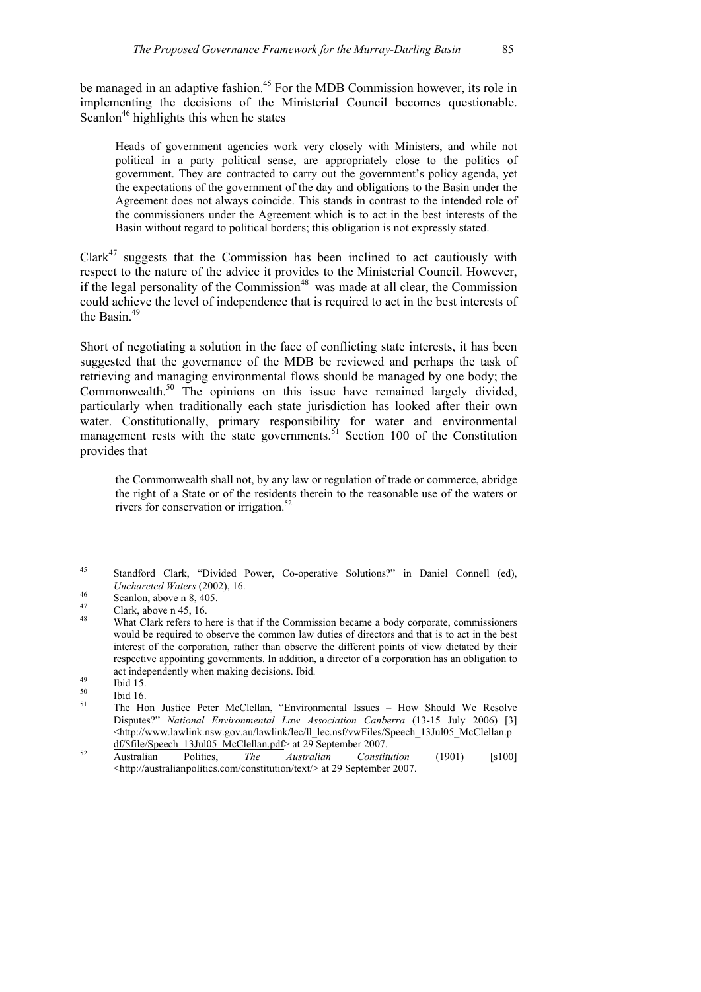be managed in an adaptive fashion.<sup>45</sup> For the MDB Commission however, its role in implementing the decisions of the Ministerial Council becomes questionable. Scanlon<sup>46</sup> highlights this when he states

Heads of government agencies work very closely with Ministers, and while not political in a party political sense, are appropriately close to the politics of government. They are contracted to carry out the government's policy agenda, yet the expectations of the government of the day and obligations to the Basin under the Agreement does not always coincide. This stands in contrast to the intended role of the commissioners under the Agreement which is to act in the best interests of the Basin without regard to political borders; this obligation is not expressly stated.

 $Clark<sup>47</sup> suggests that the Commission has been inclined to act cautiously with$ respect to the nature of the advice it provides to the Ministerial Council. However, if the legal personality of the Commission<sup>48</sup> was made at all clear, the Commission could achieve the level of independence that is required to act in the best interests of the Basin.49

Short of negotiating a solution in the face of conflicting state interests, it has been suggested that the governance of the MDB be reviewed and perhaps the task of retrieving and managing environmental flows should be managed by one body; the Commonwealth.50 The opinions on this issue have remained largely divided, particularly when traditionally each state jurisdiction has looked after their own water. Constitutionally, primary responsibility for water and environmental management rests with the state governments.<sup>51</sup> Section 100 of the Constitution provides that

the Commonwealth shall not, by any law or regulation of trade or commerce, abridge the right of a State or of the residents therein to the reasonable use of the waters or rivers for conservation or irrigation.<sup>52</sup>

 <sup>45</sup> Standford Clark, "Divided Power, Co-operative Solutions?" in Daniel Connell (ed), *Unchareted Waters* (2002), 16.<br> **Scanlon**, above n 8, 405.

 $\frac{47}{48}$  Clark, above n 45, 16.

What Clark refers to here is that if the Commission became a body corporate, commissioners would be required to observe the common law duties of directors and that is to act in the best interest of the corporation, rather than observe the different points of view dictated by their respective appointing governments. In addition, a director of a corporation has an obligation to act independently when making decisions. Ibid.<br>  $\frac{49}{150}$  Ibid 15.

 $\begin{array}{ccc} 50 & \text{Ibid } 16. \\ 51 & \text{The } \text{IIc} \end{array}$ 

<sup>&</sup>lt;sup>51</sup> The Hon Justice Peter McClellan, "Environmental Issues – How Should We Resolve Disputes?" *National Environmental Law Association Canberra* (13-15 July 2006) [3] <http://www.lawlink.nsw.gov.au/lawlink/lec/ll\_lec.nsf/vwFiles/Speech\_13Jul05\_McClellan.p

df/\$file/Speech\_13Jul05\_McClellan.pdf> at 29 September 2007. 52 Australian Politics, *The Australian Constitution* (1901) [s100] <http://australianpolitics.com/constitution/text/> at 29 September 2007.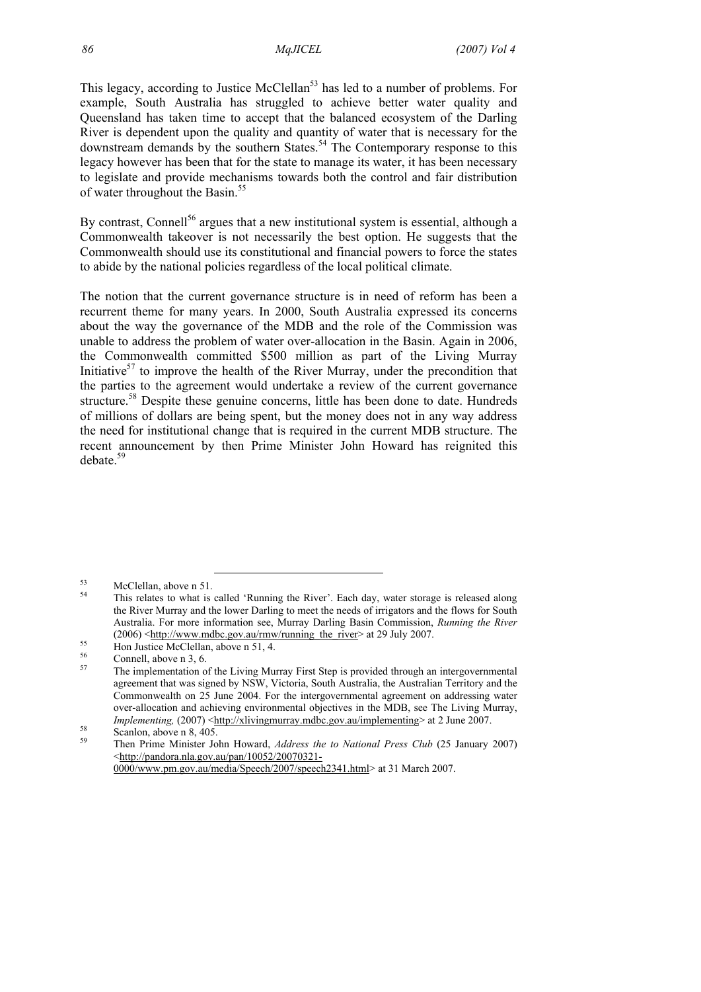This legacy, according to Justice McClellan<sup>53</sup> has led to a number of problems. For example, South Australia has struggled to achieve better water quality and Queensland has taken time to accept that the balanced ecosystem of the Darling River is dependent upon the quality and quantity of water that is necessary for the downstream demands by the southern States.<sup>54</sup> The Contemporary response to this legacy however has been that for the state to manage its water, it has been necessary to legislate and provide mechanisms towards both the control and fair distribution of water throughout the Basin.<sup>55</sup>

By contrast, Connell<sup>56</sup> argues that a new institutional system is essential, although a Commonwealth takeover is not necessarily the best option. He suggests that the Commonwealth should use its constitutional and financial powers to force the states to abide by the national policies regardless of the local political climate.

The notion that the current governance structure is in need of reform has been a recurrent theme for many years. In 2000, South Australia expressed its concerns about the way the governance of the MDB and the role of the Commission was unable to address the problem of water over-allocation in the Basin. Again in 2006, the Commonwealth committed \$500 million as part of the Living Murray Initiative<sup>57</sup> to improve the health of the River Murray, under the precondition that the parties to the agreement would undertake a review of the current governance structure.<sup>58</sup> Despite these genuine concerns, little has been done to date. Hundreds of millions of dollars are being spent, but the money does not in any way address the need for institutional change that is required in the current MDB structure. The recent announcement by then Prime Minister John Howard has reignited this debate.<sup>59</sup>

 $53$  McClellan, above n 51.

This relates to what is called 'Running the River'. Each day, water storage is released along the River Murray and the lower Darling to meet the needs of irrigators and the flows for South Australia. For more information see, Murray Darling Basin Commission, *Running the River* (2006)  $\frac{\text{http://www.mdbc.gov.au/rmw/running}\_the\_river}{\text{Mon Justice McClellan}\_, above \n}$  at 29 July 2007.

 $\frac{56}{57}$  Connell, above n 3, 6.

<sup>57</sup> The implementation of the Living Murray First Step is provided through an intergovernmental agreement that was signed by NSW, Victoria, South Australia, the Australian Territory and the Commonwealth on 25 June 2004. For the intergovernmental agreement on addressing water over-allocation and achieving environmental objectives in the MDB, see The Living Murray, *Implementing, (2007)* <<u>http://xlivingmurray.mdbc.gov.au/implementing</u>> at 2 June 2007.<br>Scanlon, above n 8, 405.

<sup>59</sup> Then Prime Minister John Howard, *Address the to National Press Club* (25 January 2007) <http://pandora.nla.gov.au/pan/10052/20070321- 0000/www.pm.gov.au/media/Speech/2007/speech2341.html> at 31 March 2007.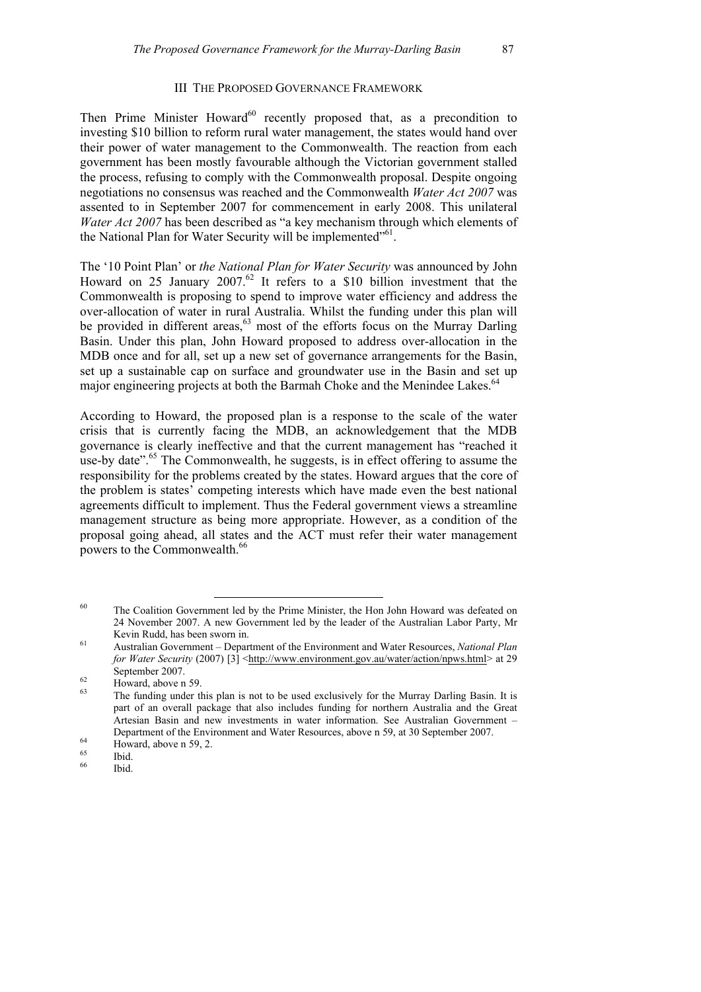### III THE PROPOSED GOVERNANCE FRAMEWORK

Then Prime Minister Howard<sup>60</sup> recently proposed that, as a precondition to investing \$10 billion to reform rural water management, the states would hand over their power of water management to the Commonwealth. The reaction from each government has been mostly favourable although the Victorian government stalled the process, refusing to comply with the Commonwealth proposal. Despite ongoing negotiations no consensus was reached and the Commonwealth *Water Act 2007* was assented to in September 2007 for commencement in early 2008. This unilateral *Water Act 2007* has been described as "a key mechanism through which elements of the National Plan for Water Security will be implemented"<sup>61</sup>.

The '10 Point Plan' or *the National Plan for Water Security* was announced by John Howard on 25 January 2007.<sup>62</sup> It refers to a \$10 billion investment that the Commonwealth is proposing to spend to improve water efficiency and address the over-allocation of water in rural Australia. Whilst the funding under this plan will be provided in different areas,<sup>63</sup> most of the efforts focus on the Murray Darling Basin. Under this plan, John Howard proposed to address over-allocation in the MDB once and for all, set up a new set of governance arrangements for the Basin, set up a sustainable cap on surface and groundwater use in the Basin and set up major engineering projects at both the Barmah Choke and the Menindee Lakes.<sup>64</sup>

According to Howard, the proposed plan is a response to the scale of the water crisis that is currently facing the MDB, an acknowledgement that the MDB governance is clearly ineffective and that the current management has "reached it use-by date". $65$  The Commonwealth, he suggests, is in effect offering to assume the responsibility for the problems created by the states. Howard argues that the core of the problem is states' competing interests which have made even the best national agreements difficult to implement. Thus the Federal government views a streamline management structure as being more appropriate. However, as a condition of the proposal going ahead, all states and the ACT must refer their water management powers to the Commonwealth.<sup>66</sup>

<sup>&</sup>lt;sup>60</sup> The Coalition Government led by the Prime Minister, the Hon John Howard was defeated on 24 November 2007. A new Government led by the leader of the Australian Labor Party, Mr Kevin Rudd, has been sworn in.<br><sup>61</sup> Australian Government – Department of the Environment and Water Resources, *National Plan* 

*for Water Security* (2007) [3] <http://www.environment.gov.au/water/action/npws.html> at 29 September 2007.<br>
Howard, above n 59.<br>
The contract of the state of the state of the state of the state of the state of the state of the state of the state of the state of the state of the state of the state of the state of

<sup>63</sup> The funding under this plan is not to be used exclusively for the Murray Darling Basin. It is part of an overall package that also includes funding for northern Australia and the Great Artesian Basin and new investments in water information. See Australian Government – Department of the Environment and Water Resources, above n 59, at 30 September 2007.<br>Howard, above n 59, 2.

<sup>65</sup> Ibid.

Ibid.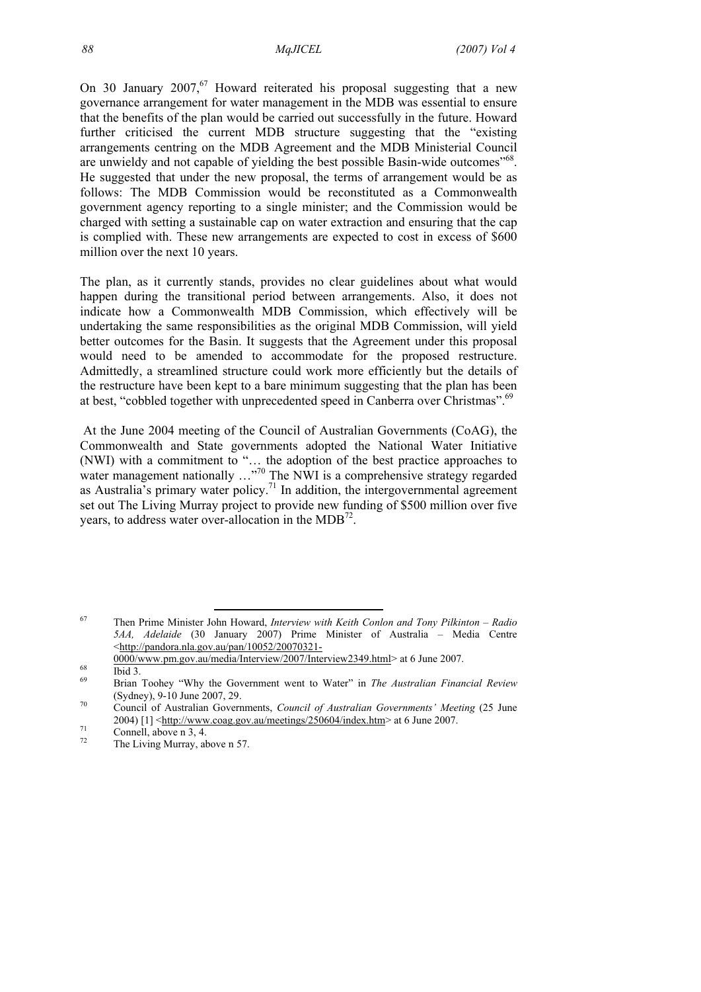On 30 January  $2007<sup>67</sup>$  Howard reiterated his proposal suggesting that a new governance arrangement for water management in the MDB was essential to ensure that the benefits of the plan would be carried out successfully in the future. Howard further criticised the current MDB structure suggesting that the "existing arrangements centring on the MDB Agreement and the MDB Ministerial Council are unwieldy and not capable of yielding the best possible Basin-wide outcomes<sup>"68</sup>. He suggested that under the new proposal, the terms of arrangement would be as follows: The MDB Commission would be reconstituted as a Commonwealth government agency reporting to a single minister; and the Commission would be charged with setting a sustainable cap on water extraction and ensuring that the cap is complied with. These new arrangements are expected to cost in excess of \$600 million over the next 10 years.

The plan, as it currently stands, provides no clear guidelines about what would happen during the transitional period between arrangements. Also, it does not indicate how a Commonwealth MDB Commission, which effectively will be undertaking the same responsibilities as the original MDB Commission, will yield better outcomes for the Basin. It suggests that the Agreement under this proposal would need to be amended to accommodate for the proposed restructure. Admittedly, a streamlined structure could work more efficiently but the details of the restructure have been kept to a bare minimum suggesting that the plan has been at best, "cobbled together with unprecedented speed in Canberra over Christmas".<sup>69</sup>

 At the June 2004 meeting of the Council of Australian Governments (CoAG), the Commonwealth and State governments adopted the National Water Initiative (NWI) with a commitment to "… the adoption of the best practice approaches to water management nationally  $\ldots$ <sup>70</sup> The NWI is a comprehensive strategy regarded as Australia's primary water policy.<sup>71</sup> In addition, the intergovernmental agreement set out The Living Murray project to provide new funding of \$500 million over five years, to address water over-allocation in the MDB $^{72}$ .

 <sup>67</sup> Then Prime Minister John Howard, *Interview with Keith Conlon and Tony Pilkinton – Radio 5AA, Adelaide* (30 January 2007) Prime Minister of Australia – Media Centre <http://pandora.nla.gov.au/pan/10052/20070321-

 $\frac{0000\text{/www.pm.gov.au/media/Interview/2007/Interview2349.html}}{16}$  at 6 June 2007.

<sup>69</sup> Brian Toohey "Why the Government went to Water" in *The Australian Financial Review*

<sup>(</sup>Sydney), 9-10 June 2007, 29. 70 Council of Australian Governments, *Council of Australian Governments' Meeting* (25 June 2004) [1]  $\leq$ http://www.coag.gov.au/meetings/250604/index.htm> at 6 June 2007.<br>
Connell, above n 3, 4.<br>
The Living Margaret between 57

The Living Murray, above n 57.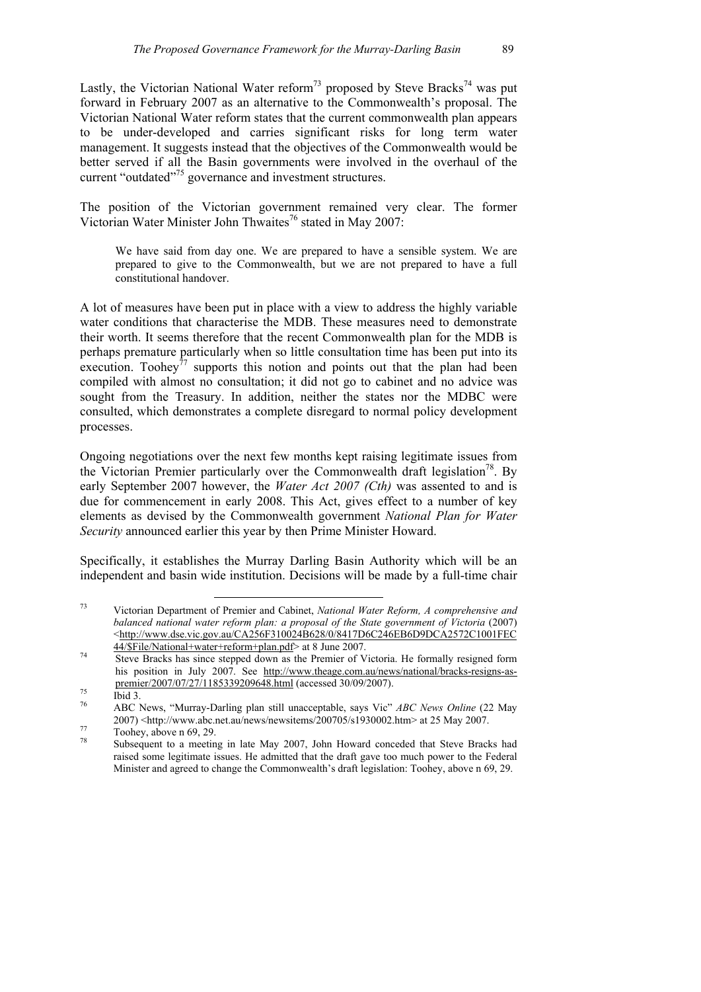Lastly, the Victorian National Water reform<sup>73</sup> proposed by Steve Bracks<sup>74</sup> was put forward in February 2007 as an alternative to the Commonwealth's proposal. The Victorian National Water reform states that the current commonwealth plan appears to be under-developed and carries significant risks for long term water management. It suggests instead that the objectives of the Commonwealth would be better served if all the Basin governments were involved in the overhaul of the current "outdated"75 governance and investment structures.

The position of the Victorian government remained very clear. The former Victorian Water Minister John Thwaites<sup>76</sup> stated in May 2007:

We have said from day one. We are prepared to have a sensible system. We are prepared to give to the Commonwealth, but we are not prepared to have a full constitutional handover.

A lot of measures have been put in place with a view to address the highly variable water conditions that characterise the MDB. These measures need to demonstrate their worth. It seems therefore that the recent Commonwealth plan for the MDB is perhaps premature particularly when so little consultation time has been put into its execution. Toohey<sup> $77$ </sup> supports this notion and points out that the plan had been compiled with almost no consultation; it did not go to cabinet and no advice was sought from the Treasury. In addition, neither the states nor the MDBC were consulted, which demonstrates a complete disregard to normal policy development processes.

Ongoing negotiations over the next few months kept raising legitimate issues from the Victorian Premier particularly over the Commonwealth draft legislation<sup>78</sup>. By early September 2007 however, the *Water Act 2007 (Cth)* was assented to and is due for commencement in early 2008. This Act, gives effect to a number of key elements as devised by the Commonwealth government *National Plan for Water Security* announced earlier this year by then Prime Minister Howard.

Specifically, it establishes the Murray Darling Basin Authority which will be an independent and basin wide institution. Decisions will be made by a full-time chair

 <sup>73</sup> Victorian Department of Premier and Cabinet, *National Water Reform, A comprehensive and balanced national water reform plan: a proposal of the State government of Victoria* (2007) <http://www.dse.vic.gov.au/CA256F310024B628/0/8417D6C246EB6D9DCA2572C1001FEC

<sup>44/\$</sup>File/National+water+reform+plan.pdf> at 8 June 2007. 74 Steve Bracks has since stepped down as the Premier of Victoria. He formally resigned form his position in July 2007. See http://www.theage.com.au/news/national/bracks-resigns-aspremier/2007/07/27/1185339209648.html (accessed 30/09/2007).<br>
Ibid 3.<br>
A BC Navy "Murray Derline plan still unecessateble seve Vie"

<sup>76</sup> ABC News, "Murray-Darling plan still unacceptable, says Vic" *ABC News Online* (22 May 2007)  $\langle \text{http://www.abc.net.au/news/news/newsitems/200705/s1930002.htm} \rangle$  at 25 May 2007.<br>Toohey, above n 69, 29.<br><sup>78</sup>

<sup>78</sup> Subsequent to a meeting in late May 2007, John Howard conceded that Steve Bracks had raised some legitimate issues. He admitted that the draft gave too much power to the Federal Minister and agreed to change the Commonwealth's draft legislation: Toohey, above n 69, 29.